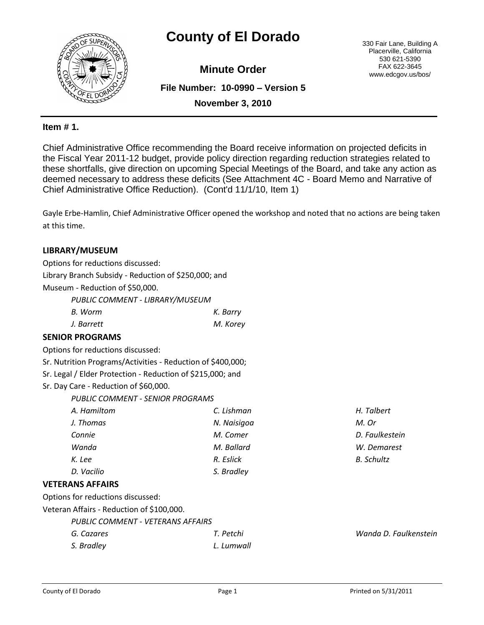# **County of El Dorado** 330 Fair Lane, Building A



**Minute Order**

**File Number: 10-0990 – Version 5**

Placerville, California 530 621-5390 FAX 622-3645 www.edcgov.us/bos/

**November 3, 2010**

# **Item # 1.**

Chief Administrative Office recommending the Board receive information on projected deficits in the Fiscal Year 2011-12 budget, provide policy direction regarding reduction strategies related to these shortfalls, give direction on upcoming Special Meetings of the Board, and take any action as deemed necessary to address these deficits (See Attachment 4C - Board Memo and Narrative of Chief Administrative Office Reduction). (Cont'd 11/1/10, Item 1)

Gayle Erbe-Hamlin, Chief Administrative Officer opened the workshop and noted that no actions are being taken at this time.

### **LIBRARY/MUSEUM**

Options for reductions discussed: Library Branch Subsidy - Reduction of \$250,000; and Museum - Reduction of \$50,000.

*PUBLIC COMMENT - LIBRARY/MUSEUM*

| B. Worm    | K. Barry |
|------------|----------|
| J. Barrett | M. Korey |

## **SENIOR PROGRAMS**

Options for reductions discussed:

Sr. Nutrition Programs/Activities - Reduction of \$400,000;

Sr. Legal / Elder Protection - Reduction of \$215,000; and

Sr. Day Care - Reduction of \$60,000.

*PUBLIC COMMENT - SENIOR PROGRAMS*

| A. Hamiltom | C. Lishman  | H. Talbert        |
|-------------|-------------|-------------------|
| J. Thomas   | N. Naisigoa | M. Or             |
| Connie      | M. Comer    | D. Faulkestein    |
| Wanda       | M. Ballard  | W. Demarest       |
| K. Lee      | R. Eslick   | <b>B.</b> Schultz |
| D. Vacilio  | S. Bradley  |                   |
|             |             |                   |

#### **VETERANS AFFAIRS**

Options for reductions discussed:

Veteran Affairs - Reduction of \$100,000.

*PUBLIC COMMENT - VETERANS AFFAIRS*

| G. Cazares | T. Petchi  | Wanda D. Faulkenstein |
|------------|------------|-----------------------|
| S. Bradley | L. Lumwall |                       |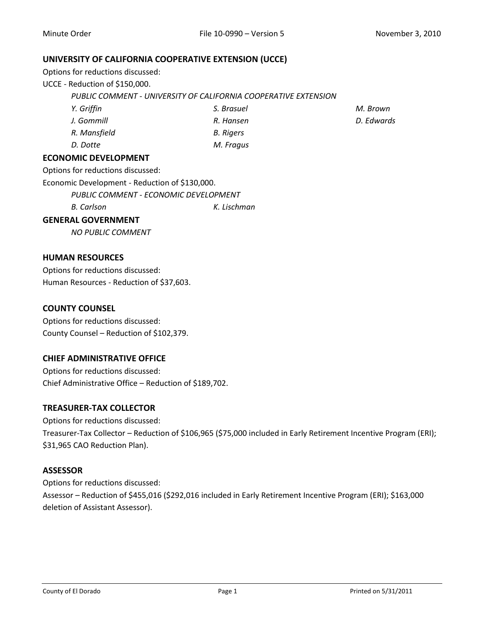#### **UNIVERSITY OF CALIFORNIA COOPERATIVE EXTENSION (UCCE)**

Options for reductions discussed:

UCCE - Reduction of \$150,000.

*PUBLIC COMMENT - UNIVERSITY OF CALIFORNIA COOPERATIVE EXTENSION*

*Y. Griffin J. Gommill R. Mansfield S. Brasuel R. Hansen B. Rigers*

*D. Dotte M. Fragus*

## **ECONOMIC DEVELOPMENT**

Options for reductions discussed:

Economic Development - Reduction of \$130,000.

*PUBLIC COMMENT - ECONOMIC DEVELOPMENT*

*B. Carlson K. Lischman*

### **GENERAL GOVERNMENT**

*NO PUBLIC COMMENT*

## **HUMAN RESOURCES**

Options for reductions discussed: Human Resources - Reduction of \$37,603.

### **COUNTY COUNSEL**

Options for reductions discussed: County Counsel – Reduction of \$102,379.

## **CHIEF ADMINISTRATIVE OFFICE**

Options for reductions discussed: Chief Administrative Office – Reduction of \$189,702.

## **TREASURER-TAX COLLECTOR**

Options for reductions discussed: Treasurer-Tax Collector – Reduction of \$106,965 (\$75,000 included in Early Retirement Incentive Program (ERI); \$31,965 CAO Reduction Plan).

# **ASSESSOR**

Options for reductions discussed: Assessor – Reduction of \$455,016 (\$292,016 included in Early Retirement Incentive Program (ERI); \$163,000 deletion of Assistant Assessor).

*M. Brown D. Edwards*